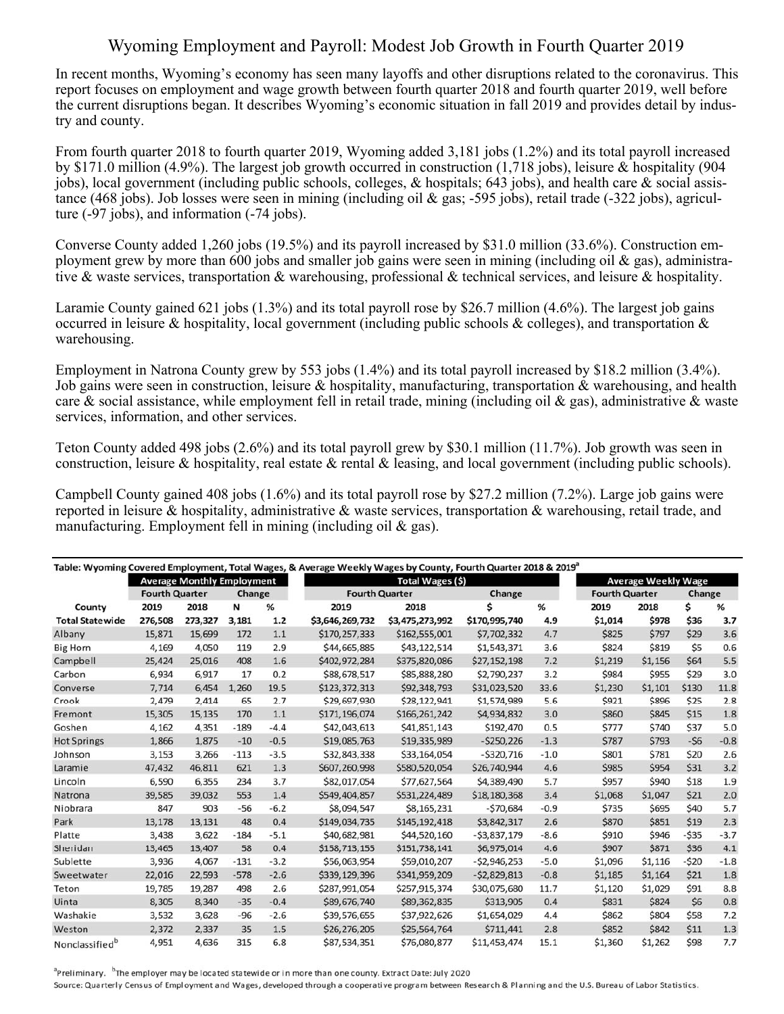## Wyoming Employment and Payroll: Modest Job Growth in Fourth Quarter 2019

In recent months, Wyoming's economy has seen many layoffs and other disruptions related to the coronavirus. This report focuses on employment and wage growth between fourth quarter 2018 and fourth quarter 2019, well before the current disruptions began. It describes Wyoming's economic situation in fall 2019 and provides detail by industry and county.

From fourth quarter 2018 to fourth quarter 2019, Wyoming added 3,181 jobs (1.2%) and its total payroll increased by \$171.0 million (4.9%). The largest job growth occurred in construction (1,718 jobs), leisure & hospitality (904 jobs), local government (including public schools, colleges, & hospitals; 643 jobs), and health care & social assistance (468 jobs). Job losses were seen in mining (including oil & gas; -595 jobs), retail trade (-322 jobs), agriculture (-97 jobs), and information (-74 jobs).

Converse County added 1,260 jobs (19.5%) and its payroll increased by \$31.0 million (33.6%). Construction employment grew by more than 600 jobs and smaller job gains were seen in mining (including oil & gas), administrative & waste services, transportation & warehousing, professional & technical services, and leisure & hospitality.

Laramie County gained 621 jobs (1.3%) and its total payroll rose by \$26.7 million (4.6%). The largest job gains occurred in leisure & hospitality, local government (including public schools & colleges), and transportation  $\&$ warehousing.

Employment in Natrona County grew by 553 jobs (1.4%) and its total payroll increased by \$18.2 million (3.4%). Job gains were seen in construction, leisure & hospitality, manufacturing, transportation & warehousing, and health care & social assistance, while employment fell in retail trade, mining (including oil & gas), administrative & waste services, information, and other services.

Teton County added 498 jobs (2.6%) and its total payroll grew by \$30.1 million (11.7%). Job growth was seen in construction, leisure & hospitality, real estate & rental & leasing, and local government (including public schools).

Campbell County gained 408 jobs (1.6%) and its total payroll rose by \$27.2 million (7.2%). Large job gains were reported in leisure & hospitality, administrative & waste services, transportation & warehousing, retail trade, and manufacturing. Employment fell in mining (including oil & gas).

|                        | <b>Average Monthly Employment</b> |         |        |        | Total Wages (\$)      |                 |               |        | <b>Average Weekly Wage</b> |         |        |        |
|------------------------|-----------------------------------|---------|--------|--------|-----------------------|-----------------|---------------|--------|----------------------------|---------|--------|--------|
|                        | <b>Fourth Quarter</b>             |         | Change |        | <b>Fourth Quarter</b> |                 | Change        |        | <b>Fourth Quarter</b>      |         | Change |        |
| County                 | 2019                              | 2018    | N      | %      | 2019                  | 2018            | Ś             | %      | 2019                       | 2018    | Ś      | %      |
| <b>Total Statewide</b> | 276,508                           | 273,327 | 3,181  | $1.2$  | \$3,646,269,732       | \$3,475,273,992 | \$170,995,740 | 4.9    | \$1,014                    | \$978   | \$36   | 3.7    |
| Albany                 | 15,871                            | 15,699  | 172    | 1.1    | \$170,257,333         | \$162,555,001   | \$7,702,332   | 4.7    | \$825                      | \$797   | \$29   | 3.6    |
| <b>Big Horn</b>        | 4,169                             | 4,050   | 119    | 2.9    | \$44,665,885          | \$43,122,514    | \$1,543,371   | 3.6    | \$824                      | \$819   | \$5    | 0.6    |
| Campbell               | 25,424                            | 25,016  | 408    | 1.6    | \$402,972,284         | \$375,820,086   | \$27,152,198  | 7.2    | \$1,219                    | \$1,156 | \$64   | 5.5    |
| Carbon                 | 6,934                             | 6,917   | 17     | 0.2    | \$88,678,517          | \$85,888,280    | \$2,790,237   | 3.2    | \$984                      | \$955   | \$29   | 3.0    |
| Converse               | 7,714                             | 6,454   | 1,260  | 19.5   | \$123,372,313         | \$92,348,793    | \$31,023,520  | 33.6   | \$1,230                    | \$1,101 | \$130  | 11.8   |
| Crook                  | 2,479                             | 2,414   | 65     | 2.7    | \$29,697,930          | \$28,122,941    | \$1,574,989   | 5.6    | \$921                      | \$896   | \$25   | 2.8    |
| Fremont                | 15,305                            | 15,135  | 170    | 1.1    | \$171,196,074         | \$166,261,242   | \$4,934,832   | 3.0    | \$860                      | \$845   | \$15   | 1.8    |
| Goshen                 | 4,162                             | 4,351   | $-189$ | $-4.4$ | \$42,043,613          | \$41,851,143    | \$192,470     | 0.5    | \$777                      | \$740   | \$37   | 5.0    |
| <b>Hot Springs</b>     | 1,866                             | 1,875   | $-10$  | $-0.5$ | \$19,085,763          | \$19,335,989    | $-5250,226$   | $-1.3$ | \$787                      | \$793   | $-56$  | $-0.8$ |
| Johnson                | 3,153                             | 3,266   | $-113$ | $-3.5$ | \$32,843,338          | \$33,164,054    | $-5320,716$   | $-1.0$ | \$801                      | \$781   | \$20   | 2.6    |
| Laramie                | 47,432                            | 46,811  | 621    | 1.3    | \$607,260,998         | \$580,520,054   | \$26,740,944  | 4.6    | \$985                      | \$954   | \$31   | 3.2    |
| Lincoln                | 6,590                             | 6,355   | 234    | 3.7    | \$82,017,054          | \$77,627,564    | \$4,389,490   | 5.7    | \$957                      | \$940   | \$18   | 1.9    |
| Natrona                | 39,585                            | 39,032  | 553    | 1.4    | \$549,404,857         | \$531,224,489   | \$18,180,368  | 3.4    | \$1,068                    | \$1,047 | \$21   | 2.0    |
| Niobrara               | 847                               | 903     | $-56$  | $-6.2$ | \$8,094,547           | \$8,165,231     | $-570,684$    | $-0.9$ | \$735                      | \$695   | \$40   | 5.7    |
| Park                   | 13,178                            | 13,131  | 48     | 0.4    | \$149,034,735         | \$145,192,418   | \$3,842,317   | 2.6    | \$870                      | \$851   | \$19   | 2.3    |
| Platte                 | 3,438                             | 3,622   | $-184$ | $-5.1$ | \$40,682,981          | \$44,520,160    | $-53,837,179$ | $-8.6$ | \$910                      | \$946   | $-535$ | $-3.7$ |
| Sheridan               | 13,465                            | 13,407  | 58     | 0.4    | \$158,713,155         | \$151,738,141   | \$6,975,014   | 4.6    | \$907                      | \$871   | \$36   | 4.1    |
| Sublette               | 3,936                             | 4,067   | $-131$ | $-3.2$ | \$56,063,954          | \$59,010,207    | $-52,946,253$ | $-5.0$ | \$1,096                    | \$1,116 | $-520$ | $-1.8$ |
| Sweetwater             | 22,016                            | 22,593  | $-578$ | $-2.6$ | \$339,129,396         | \$341,959,209   | $-52,829,813$ | $-0.8$ | \$1,185                    | \$1,164 | \$21   | 1.8    |
| Teton                  | 19,785                            | 19,287  | 498    | 2.6    | \$287,991,054         | \$257,915,374   | \$30,075,680  | 11.7   | \$1,120                    | \$1,029 | \$91   | 8.8    |
| Uinta                  | 8.305                             | 8,340   | $-35$  | $-0.4$ | \$89,676,740          | \$89,362,835    | \$313,905     | 0.4    | \$831                      | \$824   | \$6    | 0.8    |
| Washakie               | 3,532                             | 3,628   | $-96$  | $-2.6$ | \$39,576,655          | \$37,922,626    | \$1,654,029   | 4.4    | \$862                      | \$804   | \$58   | 7.2    |
| Weston                 | 2,372                             | 2,337   | 35     | 1.5    | \$26,276,205          | \$25,564,764    | \$711,441     | 2.8    | \$852                      | \$842   | \$11   | $1.3$  |
| Nonclassifiedb         | 4,951                             | 4,636   | 315    | 6.8    | \$87,534,351          | \$76,080,877    | \$11,453,474  | 15.1   | \$1,360                    | \$1,262 | \$98   | 7.7    |

<sup>a</sup>Preliminary. <sup>b</sup>The employer may be located statewide or in more than one county. Extract Date: July 2020 Source: Quarterly Census of Employment and Wages, developed through a cooperative program between Research & Planning and the U.S. Bureau of Labor Statistics.